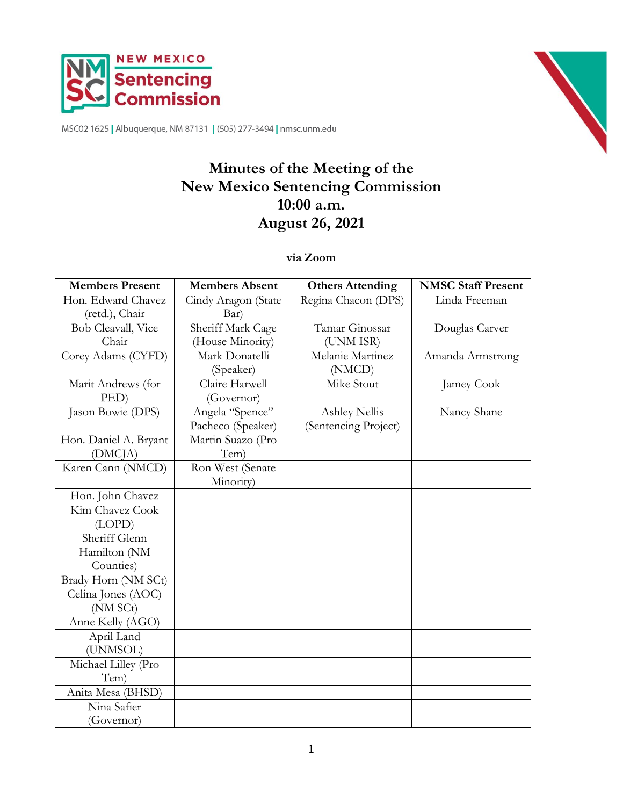



MSC02 1625 | Albuquerque, NM 87131 | (505) 277-3494 | nmsc.unm.edu

# **Minutes of the Meeting of the New Mexico Sentencing Commission 10:00 a.m. August 26, 2021**

#### **via Zoom**

| <b>Members Present</b> | <b>Members Absent</b> | <b>Others Attending</b> | <b>NMSC Staff Present</b> |
|------------------------|-----------------------|-------------------------|---------------------------|
| Hon. Edward Chavez     | Cindy Aragon (State   | Regina Chacon (DPS)     | Linda Freeman             |
| (retd.), Chair         | Bar)                  |                         |                           |
| Bob Cleavall, Vice     | Sheriff Mark Cage     | Tamar Ginossar          | Douglas Carver            |
| Chair                  | (House Minority)      | (UNM ISR)               |                           |
| Corey Adams (CYFD)     | Mark Donatelli        | Melanie Martinez        | Amanda Armstrong          |
|                        | (Speaker)             | (NMCD)                  |                           |
| Marit Andrews (for     | Claire Harwell        | Mike Stout              | Jamey Cook                |
| PED)                   | (Governor)            |                         |                           |
| Jason Bowie (DPS)      | Angela "Spence"       | <b>Ashley Nellis</b>    | Nancy Shane               |
|                        | Pacheco (Speaker)     | (Sentencing Project)    |                           |
| Hon. Daniel A. Bryant  | Martin Suazo (Pro     |                         |                           |
| (DMC <sub>IA</sub> )   | Tem)                  |                         |                           |
| Karen Cann (NMCD)      | Ron West (Senate      |                         |                           |
|                        | Minority)             |                         |                           |
| Hon. John Chavez       |                       |                         |                           |
| Kim Chavez Cook        |                       |                         |                           |
| (LOPD)                 |                       |                         |                           |
| Sheriff Glenn          |                       |                         |                           |
| Hamilton (NM           |                       |                         |                           |
| Counties)              |                       |                         |                           |
| Brady Horn (NM SCt)    |                       |                         |                           |
| Celina Jones (AOC)     |                       |                         |                           |
| (NM SCt)               |                       |                         |                           |
| Anne Kelly (AGO)       |                       |                         |                           |
| April Land             |                       |                         |                           |
| (UNMSOL)               |                       |                         |                           |
| Michael Lilley (Pro    |                       |                         |                           |
| Tem)                   |                       |                         |                           |
| Anita Mesa (BHSD)      |                       |                         |                           |
| Nina Safier            |                       |                         |                           |
| (Governor)             |                       |                         |                           |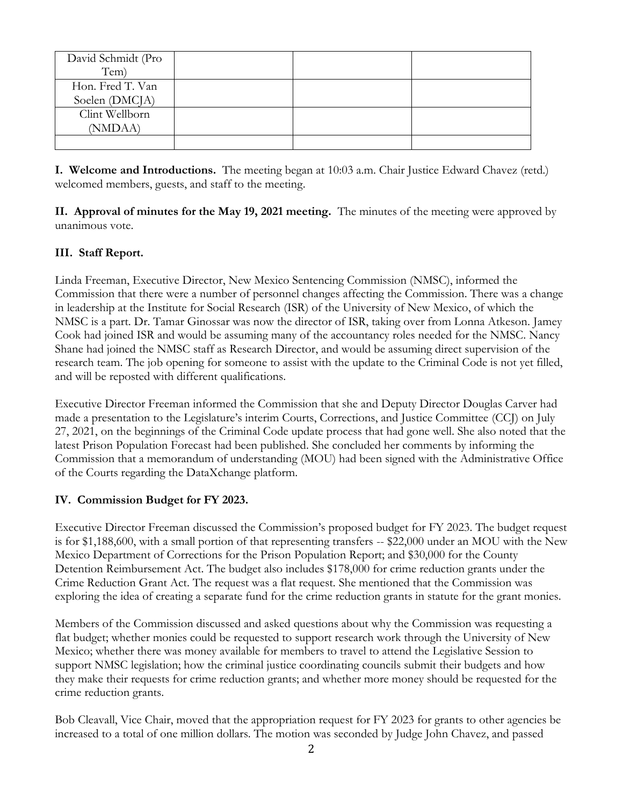| David Schmidt (Pro |  |  |
|--------------------|--|--|
| Tem)               |  |  |
| Hon. Fred T. Van   |  |  |
| Soelen (DMCJA)     |  |  |
| Clint Wellborn     |  |  |
| (NMDAA)            |  |  |
|                    |  |  |

**I. Welcome and Introductions.** The meeting began at 10:03 a.m. Chair Justice Edward Chavez (retd.) welcomed members, guests, and staff to the meeting.

**II. Approval of minutes for the May 19, 2021 meeting.** The minutes of the meeting were approved by unanimous vote.

## **III. Staff Report.**

Linda Freeman, Executive Director, New Mexico Sentencing Commission (NMSC), informed the Commission that there were a number of personnel changes affecting the Commission. There was a change in leadership at the Institute for Social Research (ISR) of the University of New Mexico, of which the NMSC is a part. Dr. Tamar Ginossar was now the director of ISR, taking over from Lonna Atkeson. Jamey Cook had joined ISR and would be assuming many of the accountancy roles needed for the NMSC. Nancy Shane had joined the NMSC staff as Research Director, and would be assuming direct supervision of the research team. The job opening for someone to assist with the update to the Criminal Code is not yet filled, and will be reposted with different qualifications.

Executive Director Freeman informed the Commission that she and Deputy Director Douglas Carver had made a presentation to the Legislature's interim Courts, Corrections, and Justice Committee (CCJ) on July 27, 2021, on the beginnings of the Criminal Code update process that had gone well. She also noted that the latest Prison Population Forecast had been published. She concluded her comments by informing the Commission that a memorandum of understanding (MOU) had been signed with the Administrative Office of the Courts regarding the DataXchange platform.

#### **IV. Commission Budget for FY 2023.**

Executive Director Freeman discussed the Commission's proposed budget for FY 2023. The budget request is for \$1,188,600, with a small portion of that representing transfers -- \$22,000 under an MOU with the New Mexico Department of Corrections for the Prison Population Report; and \$30,000 for the County Detention Reimbursement Act. The budget also includes \$178,000 for crime reduction grants under the Crime Reduction Grant Act. The request was a flat request. She mentioned that the Commission was exploring the idea of creating a separate fund for the crime reduction grants in statute for the grant monies.

Members of the Commission discussed and asked questions about why the Commission was requesting a flat budget; whether monies could be requested to support research work through the University of New Mexico; whether there was money available for members to travel to attend the Legislative Session to support NMSC legislation; how the criminal justice coordinating councils submit their budgets and how they make their requests for crime reduction grants; and whether more money should be requested for the crime reduction grants.

Bob Cleavall, Vice Chair, moved that the appropriation request for FY 2023 for grants to other agencies be increased to a total of one million dollars. The motion was seconded by Judge John Chavez, and passed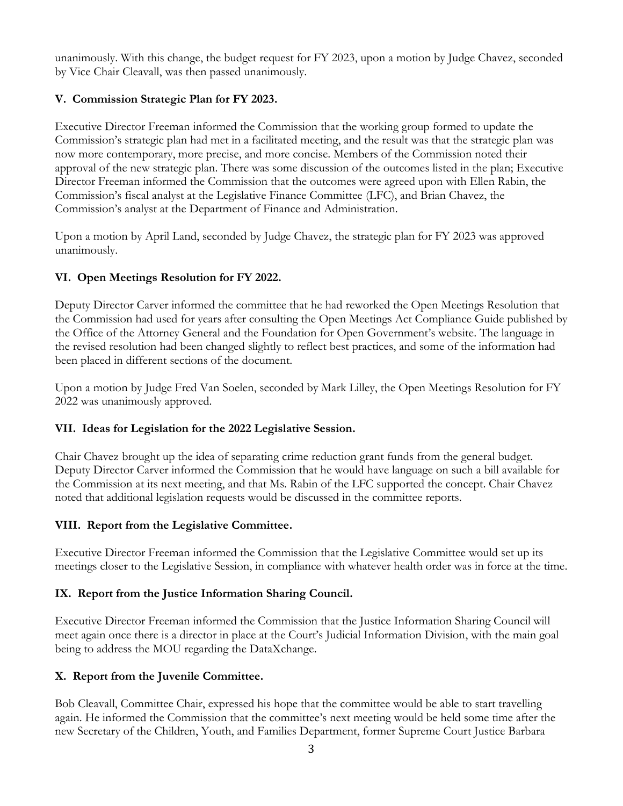unanimously. With this change, the budget request for FY 2023, upon a motion by Judge Chavez, seconded by Vice Chair Cleavall, was then passed unanimously.

## **V. Commission Strategic Plan for FY 2023.**

Executive Director Freeman informed the Commission that the working group formed to update the Commission's strategic plan had met in a facilitated meeting, and the result was that the strategic plan was now more contemporary, more precise, and more concise. Members of the Commission noted their approval of the new strategic plan. There was some discussion of the outcomes listed in the plan; Executive Director Freeman informed the Commission that the outcomes were agreed upon with Ellen Rabin, the Commission's fiscal analyst at the Legislative Finance Committee (LFC), and Brian Chavez, the Commission's analyst at the Department of Finance and Administration.

Upon a motion by April Land, seconded by Judge Chavez, the strategic plan for FY 2023 was approved unanimously.

# **VI. Open Meetings Resolution for FY 2022.**

Deputy Director Carver informed the committee that he had reworked the Open Meetings Resolution that the Commission had used for years after consulting the Open Meetings Act Compliance Guide published by the Office of the Attorney General and the Foundation for Open Government's website. The language in the revised resolution had been changed slightly to reflect best practices, and some of the information had been placed in different sections of the document.

Upon a motion by Judge Fred Van Soelen, seconded by Mark Lilley, the Open Meetings Resolution for FY 2022 was unanimously approved.

# **VII. Ideas for Legislation for the 2022 Legislative Session.**

Chair Chavez brought up the idea of separating crime reduction grant funds from the general budget. Deputy Director Carver informed the Commission that he would have language on such a bill available for the Commission at its next meeting, and that Ms. Rabin of the LFC supported the concept. Chair Chavez noted that additional legislation requests would be discussed in the committee reports.

#### **VIII. Report from the Legislative Committee.**

Executive Director Freeman informed the Commission that the Legislative Committee would set up its meetings closer to the Legislative Session, in compliance with whatever health order was in force at the time.

# **IX. Report from the Justice Information Sharing Council.**

Executive Director Freeman informed the Commission that the Justice Information Sharing Council will meet again once there is a director in place at the Court's Judicial Information Division, with the main goal being to address the MOU regarding the DataXchange.

# **X. Report from the Juvenile Committee.**

Bob Cleavall, Committee Chair, expressed his hope that the committee would be able to start travelling again. He informed the Commission that the committee's next meeting would be held some time after the new Secretary of the Children, Youth, and Families Department, former Supreme Court Justice Barbara